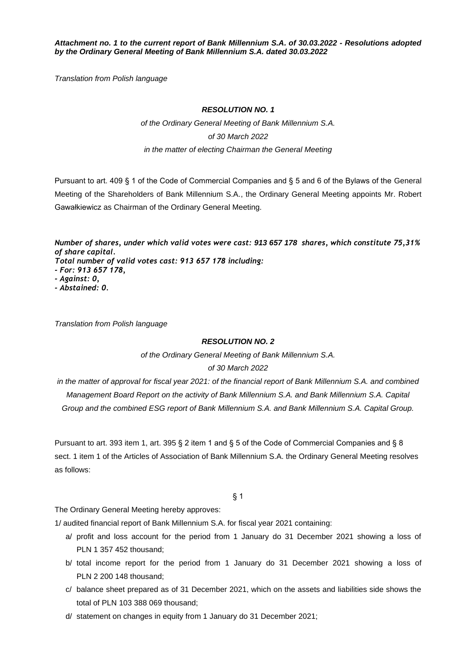*Attachment no. 1 to the current report of Bank Millennium S.A. of 30.03.2022 - Resolutions adopted by the Ordinary General Meeting of Bank Millennium S.A. dated 30.03.2022*

*Translation from Polish language*

#### *RESOLUTION NO. 1*

*of the Ordinary General Meeting of Bank Millennium S.A. of 30 March 2022 in the matter of electing Chairman the General Meeting*

Pursuant to art. 409 § 1 of the Code of Commercial Companies and § 5 and 6 of the Bylaws of the General Meeting of the Shareholders of Bank Millennium S.A., the Ordinary General Meeting appoints Mr. Robert Gawałkiewicz as Chairman of the Ordinary General Meeting.

*Number of shares, under which valid votes were cast: 913 657 178 shares, which constitute 75,31% of share capital. Total number of valid votes cast: 913 657 178 including: - For: 913 657 178, - Against: 0,*

*- Abstained: 0.*

*Translation from Polish language*

## *RESOLUTION NO. 2*

*of the Ordinary General Meeting of Bank Millennium S.A. of 30 March 2022*

*in the matter of approval for fiscal year 2021: of the financial report of Bank Millennium S.A. and combined Management Board Report on the activity of Bank Millennium S.A. and Bank Millennium S.A. Capital Group and the combined ESG report of Bank Millennium S.A. and Bank Millennium S.A. Capital Group.*

Pursuant to art. 393 item 1, art. 395 § 2 item 1 and § 5 of the Code of Commercial Companies and § 8 sect. 1 item 1 of the Articles of Association of Bank Millennium S.A. the Ordinary General Meeting resolves as follows:

§ 1

The Ordinary General Meeting hereby approves:

1/ audited financial report of Bank Millennium S.A. for fiscal year 2021 containing:

- a/ profit and loss account for the period from 1 January do 31 December 2021 showing a loss of PLN 1 357 452 thousand;
- b/ total income report for the period from 1 January do 31 December 2021 showing a loss of PLN 2 200 148 thousand;
- c/ balance sheet prepared as of 31 December 2021, which on the assets and liabilities side shows the total of PLN 103 388 069 thousand;
- d/ statement on changes in equity from 1 January do 31 December 2021;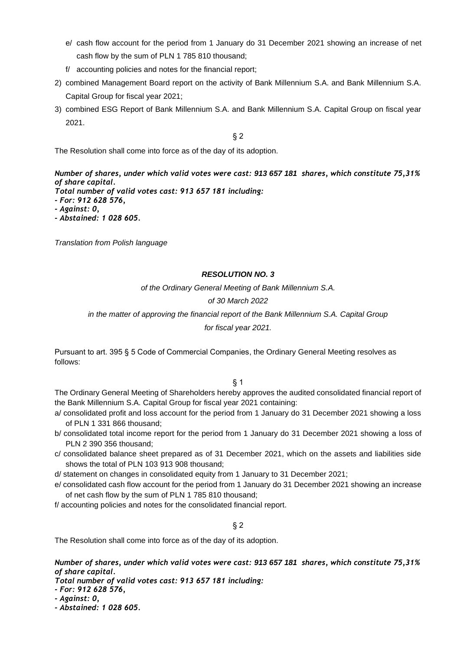- e/ cash flow account for the period from 1 January do 31 December 2021 showing an increase of net cash flow by the sum of PLN 1 785 810 thousand;
- f/ accounting policies and notes for the financial report;
- 2) combined Management Board report on the activity of Bank Millennium S.A. and Bank Millennium S.A. Capital Group for fiscal year 2021;
- 3) combined ESG Report of Bank Millennium S.A. and Bank Millennium S.A. Capital Group on fiscal year 2021.

§ 2

The Resolution shall come into force as of the day of its adoption.

*Number of shares, under which valid votes were cast: 913 657 181 shares, which constitute 75,31% of share capital.*

*Total number of valid votes cast: 913 657 181 including:*

*- For: 912 628 576,*

*- Against: 0,*

*- Abstained: 1 028 605.*

*Translation from Polish language*

# *RESOLUTION NO. 3*

*of the Ordinary General Meeting of Bank Millennium S.A.* 

# *of 30 March 2022*

# *in the matter of approving the financial report of the Bank Millennium S.A. Capital Group*

*for fiscal year 2021.*

Pursuant to art. 395 § 5 Code of Commercial Companies, the Ordinary General Meeting resolves as follows:

# § 1

The Ordinary General Meeting of Shareholders hereby approves the audited consolidated financial report of the Bank Millennium S.A. Capital Group for fiscal year 2021 containing:

- a/ consolidated profit and loss account for the period from 1 January do 31 December 2021 showing a loss of PLN 1 331 866 thousand;
- b/ consolidated total income report for the period from 1 January do 31 December 2021 showing a loss of PLN 2 390 356 thousand;
- c/ consolidated balance sheet prepared as of 31 December 2021, which on the assets and liabilities side shows the total of PLN 103 913 908 thousand;
- d/ statement on changes in consolidated equity from 1 January to 31 December 2021;
- e/ consolidated cash flow account for the period from 1 January do 31 December 2021 showing an increase of net cash flow by the sum of PLN 1 785 810 thousand;

f/ accounting policies and notes for the consolidated financial report.

§ 2

The Resolution shall come into force as of the day of its adoption.

# *Number of shares, under which valid votes were cast: 913 657 181 shares, which constitute 75,31% of share capital.*

*Total number of valid votes cast: 913 657 181 including:*

*- For: 912 628 576,*

*- Against: 0,*

*- Abstained: 1 028 605.*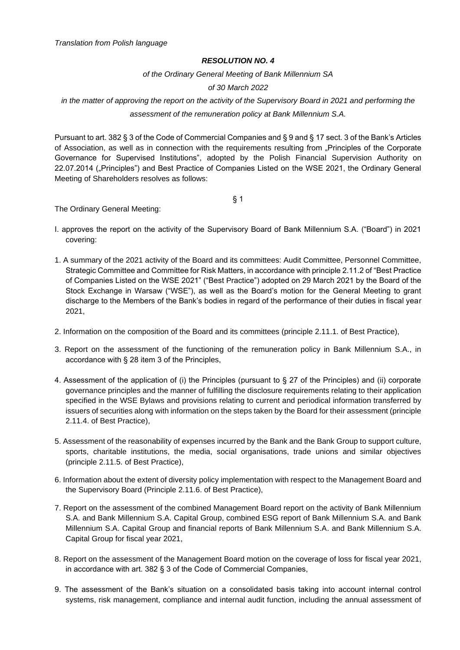*of the Ordinary General Meeting of Bank Millennium SA*

## *of 30 March 2022*

*in the matter of approving the report on the activity of the Supervisory Board in 2021 and performing the assessment of the remuneration policy at Bank Millennium S.A.*

Pursuant to art. 382 § 3 of the Code of Commercial Companies and § 9 and § 17 sect. 3 of the Bank's Articles of Association, as well as in connection with the requirements resulting from "Principles of the Corporate Governance for Supervised Institutions", adopted by the Polish Financial Supervision Authority on 22.07.2014 ("Principles") and Best Practice of Companies Listed on the WSE 2021, the Ordinary General Meeting of Shareholders resolves as follows:

§ 1

The Ordinary General Meeting:

- I. approves the report on the activity of the Supervisory Board of Bank Millennium S.A. ("Board") in 2021 covering:
- 1. A summary of the 2021 activity of the Board and its committees: Audit Committee, Personnel Committee, Strategic Committee and Committee for Risk Matters, in accordance with principle 2.11.2 of "Best Practice of Companies Listed on the WSE 2021" ("Best Practice") adopted on 29 March 2021 by the Board of the Stock Exchange in Warsaw ("WSE"), as well as the Board's motion for the General Meeting to grant discharge to the Members of the Bank's bodies in regard of the performance of their duties in fiscal year 2021,
- 2. Information on the composition of the Board and its committees (principle 2.11.1. of Best Practice),
- 3. Report on the assessment of the functioning of the remuneration policy in Bank Millennium S.A., in accordance with § 28 item 3 of the Principles,
- 4. Assessment of the application of (i) the Principles (pursuant to § 27 of the Principles) and (ii) corporate governance principles and the manner of fulfilling the disclosure requirements relating to their application specified in the WSE Bylaws and provisions relating to current and periodical information transferred by issuers of securities along with information on the steps taken by the Board for their assessment (principle 2.11.4. of Best Practice),
- 5. Assessment of the reasonability of expenses incurred by the Bank and the Bank Group to support culture, sports, charitable institutions, the media, social organisations, trade unions and similar objectives (principle 2.11.5. of Best Practice),
- 6. Information about the extent of diversity policy implementation with respect to the Management Board and the Supervisory Board (Principle 2.11.6. of Best Practice),
- 7. Report on the assessment of the combined Management Board report on the activity of Bank Millennium S.A. and Bank Millennium S.A. Capital Group, combined ESG report of Bank Millennium S.A. and Bank Millennium S.A. Capital Group and financial reports of Bank Millennium S.A. and Bank Millennium S.A. Capital Group for fiscal year 2021,
- 8. Report on the assessment of the Management Board motion on the coverage of loss for fiscal year 2021, in accordance with art. 382 § 3 of the Code of Commercial Companies,
- 9. The assessment of the Bank's situation on a consolidated basis taking into account internal control systems, risk management, compliance and internal audit function, including the annual assessment of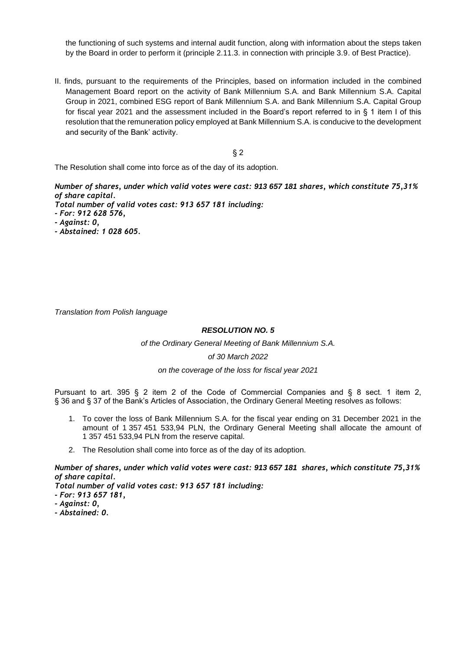the functioning of such systems and internal audit function, along with information about the steps taken by the Board in order to perform it (principle 2.11.3. in connection with principle 3.9. of Best Practice).

II. finds, pursuant to the requirements of the Principles, based on information included in the combined Management Board report on the activity of Bank Millennium S.A. and Bank Millennium S.A. Capital Group in 2021, combined ESG report of Bank Millennium S.A. and Bank Millennium S.A. Capital Group for fiscal year 2021 and the assessment included in the Board's report referred to in § 1 item I of this resolution that the remuneration policy employed at Bank Millennium S.A. is conducive to the development and security of the Bank' activity.

§ 2

The Resolution shall come into force as of the day of its adoption.

*Number of shares, under which valid votes were cast: 913 657 181 shares, which constitute 75,31% of share capital.*

*Total number of valid votes cast: 913 657 181 including: - For: 912 628 576,*

*- Against: 0,*

*- Abstained: 1 028 605.*

*Translation from Polish language*

# *RESOLUTION NO. 5*

*of the Ordinary General Meeting of Bank Millennium S.A.* 

#### *of 30 March 2022*

#### *on the coverage of the loss for fiscal year 2021*

Pursuant to art. 395 § 2 item 2 of the Code of Commercial Companies and § 8 sect. 1 item 2, § 36 and § 37 of the Bank's Articles of Association, the Ordinary General Meeting resolves as follows:

- 1. To cover the loss of Bank Millennium S.A. for the fiscal year ending on 31 December 2021 in the amount of 1 357 451 533,94 PLN, the Ordinary General Meeting shall allocate the amount of 1 357 451 533,94 PLN from the reserve capital.
- 2. The Resolution shall come into force as of the day of its adoption.

*Number of shares, under which valid votes were cast: 913 657 181 shares, which constitute 75,31% of share capital.*

*Total number of valid votes cast: 913 657 181 including:*

- *- For: 913 657 181,*
- *- Against: 0,*
- *- Abstained: 0.*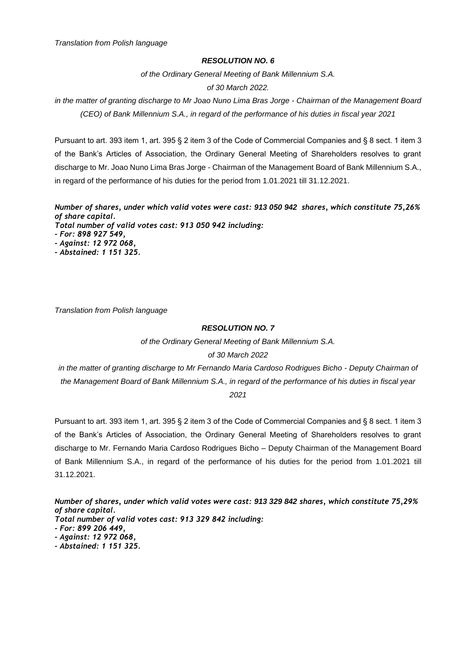*of the Ordinary General Meeting of Bank Millennium S.A.*

# *of 30 March 2022.*

*in the matter of granting discharge to Mr Joao Nuno Lima Bras Jorge - Chairman of the Management Board (CEO) of Bank Millennium S.A., in regard of the performance of his duties in fiscal year 2021*

Pursuant to art. 393 item 1, art. 395 § 2 item 3 of the Code of Commercial Companies and § 8 sect. 1 item 3 of the Bank's Articles of Association, the Ordinary General Meeting of Shareholders resolves to grant discharge to Mr. Joao Nuno Lima Bras Jorge - Chairman of the Management Board of Bank Millennium S.A., in regard of the performance of his duties for the period from 1.01.2021 till 31.12.2021.

*Number of shares, under which valid votes were cast: 913 050 942 shares, which constitute 75,26% of share capital. Total number of valid votes cast: 913 050 942 including: - For: 898 927 549, - Against: 12 972 068,*

- 
- *- Abstained: 1 151 325.*

*Translation from Polish language*

#### *RESOLUTION NO. 7*

*of the Ordinary General Meeting of Bank Millennium S.A. of 30 March 2022*

*in the matter of granting discharge to Mr Fernando Maria Cardoso Rodrigues Bicho - Deputy Chairman of the Management Board of Bank Millennium S.A., in regard of the performance of his duties in fiscal year 2021*

Pursuant to art. 393 item 1, art. 395 § 2 item 3 of the Code of Commercial Companies and § 8 sect. 1 item 3 of the Bank's Articles of Association, the Ordinary General Meeting of Shareholders resolves to grant discharge to Mr. Fernando Maria Cardoso Rodrigues Bicho – Deputy Chairman of the Management Board of Bank Millennium S.A., in regard of the performance of his duties for the period from 1.01.2021 till 31.12.2021.

*Number of shares, under which valid votes were cast: 913 329 842 shares, which constitute 75,29% of share capital. Total number of valid votes cast: 913 329 842 including: - For: 899 206 449, - Against: 12 972 068, - Abstained: 1 151 325.*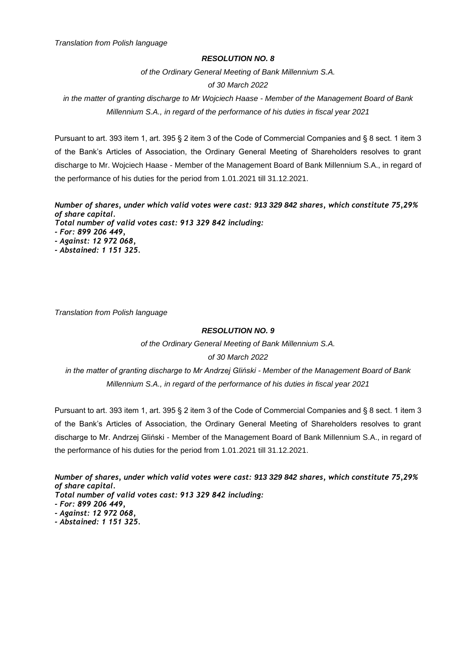*of the Ordinary General Meeting of Bank Millennium S.A.*

#### *of 30 March 2022*

*in the matter of granting discharge to Mr Wojciech Haase - Member of the Management Board of Bank Millennium S.A., in regard of the performance of his duties in fiscal year 2021*

Pursuant to art. 393 item 1, art. 395 § 2 item 3 of the Code of Commercial Companies and § 8 sect. 1 item 3 of the Bank's Articles of Association, the Ordinary General Meeting of Shareholders resolves to grant discharge to Mr. Wojciech Haase - Member of the Management Board of Bank Millennium S.A., in regard of the performance of his duties for the period from 1.01.2021 till 31.12.2021.

*Number of shares, under which valid votes were cast: 913 329 842 shares, which constitute 75,29% of share capital. Total number of valid votes cast: 913 329 842 including: - For: 899 206 449, - Against: 12 972 068, - Abstained: 1 151 325.*

*Translation from Polish language*

#### *RESOLUTION NO. 9*

*of the Ordinary General Meeting of Bank Millennium S.A. of 30 March 2022*

*in the matter of granting discharge to Mr Andrzej Gliński - Member of the Management Board of Bank Millennium S.A., in regard of the performance of his duties in fiscal year 2021*

Pursuant to art. 393 item 1, art. 395 § 2 item 3 of the Code of Commercial Companies and § 8 sect. 1 item 3 of the Bank's Articles of Association, the Ordinary General Meeting of Shareholders resolves to grant discharge to Mr. Andrzej Gliński - Member of the Management Board of Bank Millennium S.A., in regard of the performance of his duties for the period from 1.01.2021 till 31.12.2021.

*Number of shares, under which valid votes were cast: 913 329 842 shares, which constitute 75,29% of share capital. Total number of valid votes cast: 913 329 842 including: - For: 899 206 449, - Against: 12 972 068, - Abstained: 1 151 325.*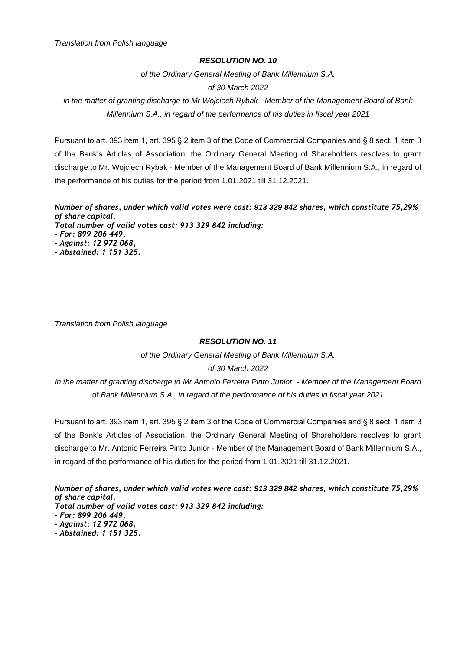## *RESOLUTION NO. 10*

*of the Ordinary General Meeting of Bank Millennium S.A.*

## *of 30 March 2022*

*in the matter of granting discharge to Mr Wojciech Rybak - Member of the Management Board of Bank Millennium S.A., in regard of the performance of his duties in fiscal year 2021*

Pursuant to art. 393 item 1, art. 395 § 2 item 3 of the Code of Commercial Companies and § 8 sect. 1 item 3 of the Bank's Articles of Association, the Ordinary General Meeting of Shareholders resolves to grant discharge to Mr. Wojciech Rybak - Member of the Management Board of Bank Millennium S.A., in regard of the performance of his duties for the period from 1.01.2021 till 31.12.2021.

*Number of shares, under which valid votes were cast: 913 329 842 shares, which constitute 75,29% of share capital. Total number of valid votes cast: 913 329 842 including: - For: 899 206 449, - Against: 12 972 068,*

*- Abstained: 1 151 325.*

*Translation from Polish language*

## *RESOLUTION NO. 11*

*of the Ordinary General Meeting of Bank Millennium S.A. of 30 March 2022*

*in the matter of granting discharge to Mr Antonio Ferreira Pinto Junior - Member of the Management Board* of *Bank Millennium S.A., in regard of the performance of his duties in fiscal year 2021*

Pursuant to art. 393 item 1, art. 395 § 2 item 3 of the Code of Commercial Companies and § 8 sect. 1 item 3 of the Bank's Articles of Association, the Ordinary General Meeting of Shareholders resolves to grant discharge to Mr. Antonio Ferreira Pinto Junior - Member of the Management Board of Bank Millennium S.A., in regard of the performance of his duties for the period from 1.01.2021 till 31.12.2021.

*Number of shares, under which valid votes were cast: 913 329 842 shares, which constitute 75,29% of share capital. Total number of valid votes cast: 913 329 842 including:*

- *- Against: 12 972 068,*
- *- Abstained: 1 151 325.*

*<sup>-</sup> For: 899 206 449,*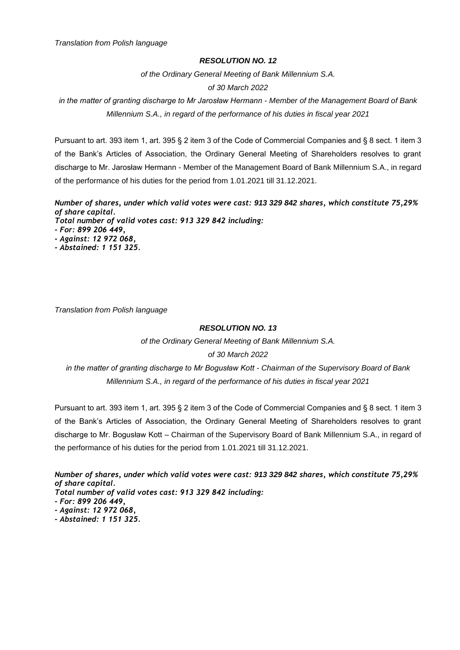## *RESOLUTION NO. 12*

*of the Ordinary General Meeting of Bank Millennium S.A.*

# *of 30 March 2022*

*in the matter of granting discharge to Mr Jarosław Hermann* - *Member of the Management Board of Bank Millennium S.A., in regard of the performance of his duties in fiscal year 2021*

Pursuant to art. 393 item 1, art. 395 § 2 item 3 of the Code of Commercial Companies and § 8 sect. 1 item 3 of the Bank's Articles of Association, the Ordinary General Meeting of Shareholders resolves to grant discharge to Mr. Jarosław Hermann - Member of the Management Board of Bank Millennium S.A., in regard of the performance of his duties for the period from 1.01.2021 till 31.12.2021.

*Number of shares, under which valid votes were cast: 913 329 842 shares, which constitute 75,29% of share capital. Total number of valid votes cast: 913 329 842 including: - For: 899 206 449, - Against: 12 972 068,*

*- Abstained: 1 151 325.*

*Translation from Polish language*

# *RESOLUTION NO. 13*

*of the Ordinary General Meeting of Bank Millennium S.A. of 30 March 2022*

*in the matter of granting discharge to Mr Bogusław Kott - Chairman of the Supervisory Board of Bank Millennium S.A., in regard of the performance of his duties in fiscal year 2021*

Pursuant to art. 393 item 1, art. 395 § 2 item 3 of the Code of Commercial Companies and § 8 sect. 1 item 3 of the Bank's Articles of Association, the Ordinary General Meeting of Shareholders resolves to grant discharge to Mr. Bogusław Kott – Chairman of the Supervisory Board of Bank Millennium S.A., in regard of the performance of his duties for the period from 1.01.2021 till 31.12.2021.

*Number of shares, under which valid votes were cast: 913 329 842 shares, which constitute 75,29% of share capital. Total number of valid votes cast: 913 329 842 including: - For: 899 206 449, - Against: 12 972 068, - Abstained: 1 151 325.*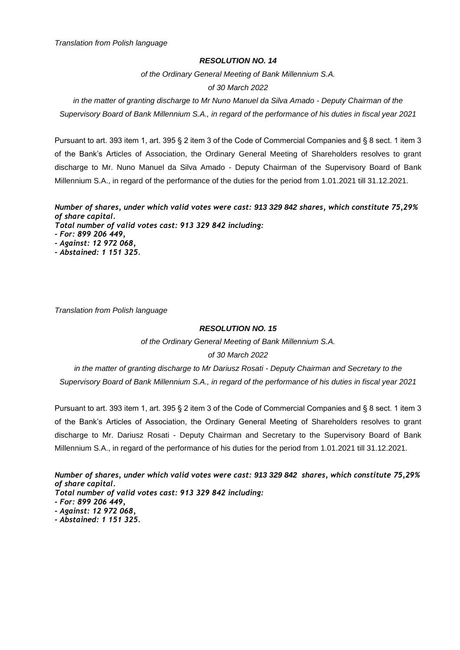#### *RESOLUTION NO. 14*

*of the Ordinary General Meeting of Bank Millennium S.A.* 

# *of 30 March 2022*

*in the matter of granting discharge to Mr Nuno Manuel da Silva Amado - Deputy Chairman of the Supervisory Board of Bank Millennium S.A., in regard of the performance of his duties in fiscal year 2021*

Pursuant to art. 393 item 1, art. 395 § 2 item 3 of the Code of Commercial Companies and § 8 sect. 1 item 3 of the Bank's Articles of Association, the Ordinary General Meeting of Shareholders resolves to grant discharge to Mr. Nuno Manuel da Silva Amado - Deputy Chairman of the Supervisory Board of Bank Millennium S.A., in regard of the performance of the duties for the period from 1.01.2021 till 31.12.2021.

*Number of shares, under which valid votes were cast: 913 329 842 shares, which constitute 75,29% of share capital. Total number of valid votes cast: 913 329 842 including: - For: 899 206 449, - Against: 12 972 068, - Abstained: 1 151 325.*

*Translation from Polish language*

## *RESOLUTION NO. 15*

*of the Ordinary General Meeting of Bank Millennium S.A. of 30 March 2022*

*in the matter of granting discharge to Mr Dariusz Rosati - Deputy Chairman and Secretary to the Supervisory Board of Bank Millennium S.A., in regard of the performance of his duties in fiscal year 2021*

Pursuant to art. 393 item 1, art. 395 § 2 item 3 of the Code of Commercial Companies and § 8 sect. 1 item 3 of the Bank's Articles of Association, the Ordinary General Meeting of Shareholders resolves to grant discharge to Mr. Dariusz Rosati - Deputy Chairman and Secretary to the Supervisory Board of Bank Millennium S.A., in regard of the performance of his duties for the period from 1.01.2021 till 31.12.2021.

*Number of shares, under which valid votes were cast: 913 329 842 shares, which constitute 75,29% of share capital. Total number of valid votes cast: 913 329 842 including:*

*- For: 899 206 449,*

- *- Against: 12 972 068,*
- *- Abstained: 1 151 325.*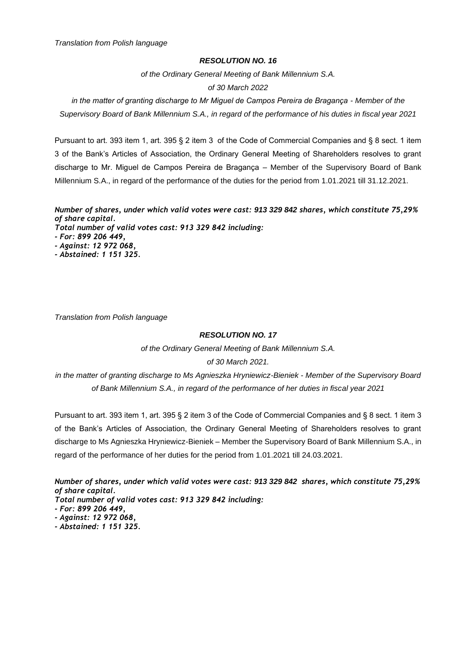#### *RESOLUTION NO. 16*

*of the Ordinary General Meeting of Bank Millennium S.A.* 

# *of 30 March 2022*

*in the matter of granting discharge to Mr Miguel de Campos Pereira de Bragança - Member of the Supervisory Board of Bank Millennium S.A., in regard of the performance of his duties in fiscal year 2021*

Pursuant to art. 393 item 1, art. 395 § 2 item 3 of the Code of Commercial Companies and § 8 sect. 1 item 3 of the Bank's Articles of Association, the Ordinary General Meeting of Shareholders resolves to grant discharge to Mr. Miguel de Campos Pereira de Bragança – Member of the Supervisory Board of Bank Millennium S.A., in regard of the performance of the duties for the period from 1.01.2021 till 31.12.2021.

*Number of shares, under which valid votes were cast: 913 329 842 shares, which constitute 75,29% of share capital. Total number of valid votes cast: 913 329 842 including: - For: 899 206 449, - Against: 12 972 068, - Abstained: 1 151 325.*

*Translation from Polish language*

# *RESOLUTION NO. 17*

*of the Ordinary General Meeting of Bank Millennium S.A.* 

# *of 30 March 2021.*

*in the matter of granting discharge to Ms Agnieszka Hryniewicz-Bieniek - Member of the Supervisory Board of Bank Millennium S.A., in regard of the performance of her duties in fiscal year 2021*

Pursuant to art. 393 item 1, art. 395 § 2 item 3 of the Code of Commercial Companies and § 8 sect. 1 item 3 of the Bank's Articles of Association, the Ordinary General Meeting of Shareholders resolves to grant discharge to Ms Agnieszka Hryniewicz-Bieniek – Member the Supervisory Board of Bank Millennium S.A., in regard of the performance of her duties for the period from 1.01.2021 till 24.03.2021.

*Number of shares, under which valid votes were cast: 913 329 842 shares, which constitute 75,29% of share capital.*

*Total number of valid votes cast: 913 329 842 including:*

*- Abstained: 1 151 325.*

*<sup>-</sup> For: 899 206 449,*

*<sup>-</sup> Against: 12 972 068,*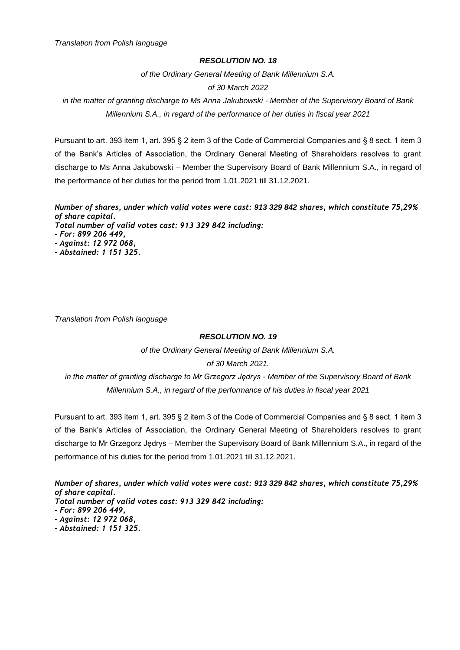#### *RESOLUTION NO. 18*

*of the Ordinary General Meeting of Bank Millennium S.A.* 

#### *of 30 March 2022*

*in the matter of granting discharge to Ms Anna Jakubowski - Member of the Supervisory Board of Bank Millennium S.A., in regard of the performance of her duties in fiscal year 2021*

Pursuant to art. 393 item 1, art. 395 § 2 item 3 of the Code of Commercial Companies and § 8 sect. 1 item 3 of the Bank's Articles of Association, the Ordinary General Meeting of Shareholders resolves to grant discharge to Ms Anna Jakubowski – Member the Supervisory Board of Bank Millennium S.A., in regard of the performance of her duties for the period from 1.01.2021 till 31.12.2021.

*Number of shares, under which valid votes were cast: 913 329 842 shares, which constitute 75,29% of share capital. Total number of valid votes cast: 913 329 842 including: - For: 899 206 449, - Against: 12 972 068,*

*- Abstained: 1 151 325.*

*Translation from Polish language*

# *RESOLUTION NO. 19*

*of the Ordinary General Meeting of Bank Millennium S.A.* 

#### *of 30 March 2021.*

*in the matter of granting discharge to Mr Grzegorz Jędrys - Member of the Supervisory Board of Bank Millennium S.A., in regard of the performance of his duties in fiscal year 2021*

Pursuant to art. 393 item 1, art. 395 § 2 item 3 of the Code of Commercial Companies and § 8 sect. 1 item 3 of the Bank's Articles of Association, the Ordinary General Meeting of Shareholders resolves to grant discharge to Mr Grzegorz Jędrys – Member the Supervisory Board of Bank Millennium S.A., in regard of the performance of his duties for the period from 1.01.2021 till 31.12.2021.

*Number of shares, under which valid votes were cast: 913 329 842 shares, which constitute 75,29% of share capital. Total number of valid votes cast: 913 329 842 including: - For: 899 206 449,*

*- Abstained: 1 151 325.*

*<sup>-</sup> Against: 12 972 068,*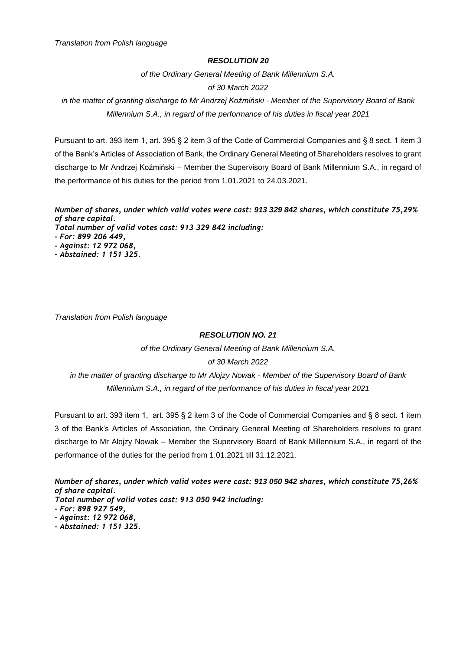#### *RESOLUTION 20*

*of the Ordinary General Meeting of Bank Millennium S.A.* 

# *of 30 March 2022*

*in the matter of granting discharge to Mr Andrzej Koźmiński - Member of the Supervisory Board of Bank Millennium S.A., in regard of the performance of his duties in fiscal year 2021*

Pursuant to art. 393 item 1, art. 395 § 2 item 3 of the Code of Commercial Companies and § 8 sect. 1 item 3 of the Bank's Articles of Association of Bank, the Ordinary General Meeting of Shareholders resolves to grant discharge to Mr Andrzej Koźmiński – Member the Supervisory Board of Bank Millennium S.A., in regard of the performance of his duties for the period from 1.01.2021 to 24.03.2021.

*Number of shares, under which valid votes were cast: 913 329 842 shares, which constitute 75,29% of share capital. Total number of valid votes cast: 913 329 842 including: - For: 899 206 449, - Against: 12 972 068, - Abstained: 1 151 325.*

*Translation from Polish language*

# *RESOLUTION NO. 21*

*of the Ordinary General Meeting of Bank Millennium S.A.* 

# *of 30 March 2022*

*in the matter of granting discharge to Mr Alojzy Nowak - Member of the Supervisory Board of Bank Millennium S.A., in regard of the performance of his duties in fiscal year 2021*

Pursuant to art. 393 item 1, art. 395 § 2 item 3 of the Code of Commercial Companies and § 8 sect. 1 item 3 of the Bank's Articles of Association, the Ordinary General Meeting of Shareholders resolves to grant discharge to Mr Alojzy Nowak – Member the Supervisory Board of Bank Millennium S.A., in regard of the performance of the duties for the period from 1.01.2021 till 31.12.2021.

*Number of shares, under which valid votes were cast: 913 050 942 shares, which constitute 75,26% of share capital.*

*Total number of valid votes cast: 913 050 942 including:*

- *- For: 898 927 549,*
- *- Against: 12 972 068,*
- *- Abstained: 1 151 325.*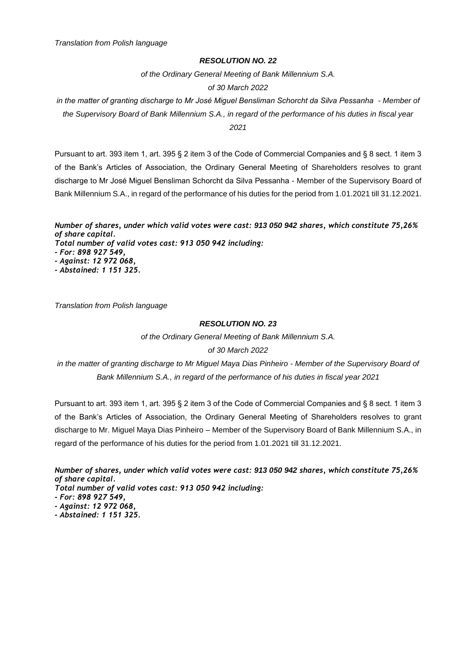*of the Ordinary General Meeting of Bank Millennium S.A.* 

#### *of 30 March 2022*

*in the matter of granting discharge to Mr José Miguel Bensliman Schorcht da Silva Pessanha - Member of the Supervisory Board of Bank Millennium S.A., in regard of the performance of his duties in fiscal year 2021*

Pursuant to art. 393 item 1, art. 395 § 2 item 3 of the Code of Commercial Companies and § 8 sect. 1 item 3 of the Bank's Articles of Association, the Ordinary General Meeting of Shareholders resolves to grant discharge to Mr José Miguel Bensliman Schorcht da Silva Pessanha - Member of the Supervisory Board of Bank Millennium S.A., in regard of the performance of his duties for the period from 1.01.2021 till 31.12.2021.

*Number of shares, under which valid votes were cast: 913 050 942 shares, which constitute 75,26% of share capital.*

*Total number of valid votes cast: 913 050 942 including:*

*- For: 898 927 549,*

*- Against: 12 972 068,*

*- Abstained: 1 151 325.*

*Translation from Polish language*

### *RESOLUTION NO. 23*

*of the Ordinary General Meeting of Bank Millennium S.A.* 

# *of 30 March 2022*

*in the matter of granting discharge to Mr Miguel Maya Dias Pinheiro - Member of the Supervisory Board of Bank Millennium S.A., in regard of the performance of his duties in fiscal year 2021*

Pursuant to art. 393 item 1, art. 395 § 2 item 3 of the Code of Commercial Companies and § 8 sect. 1 item 3 of the Bank's Articles of Association, the Ordinary General Meeting of Shareholders resolves to grant discharge to Mr. Miguel Maya Dias Pinheiro – Member of the Supervisory Board of Bank Millennium S.A., in regard of the performance of his duties for the period from 1.01.2021 till 31.12.2021.

*Number of shares, under which valid votes were cast: 913 050 942 shares, which constitute 75,26% of share capital.*

*Total number of valid votes cast: 913 050 942 including:*

*- For: 898 927 549,*

*- Against: 12 972 068,*

*- Abstained: 1 151 325.*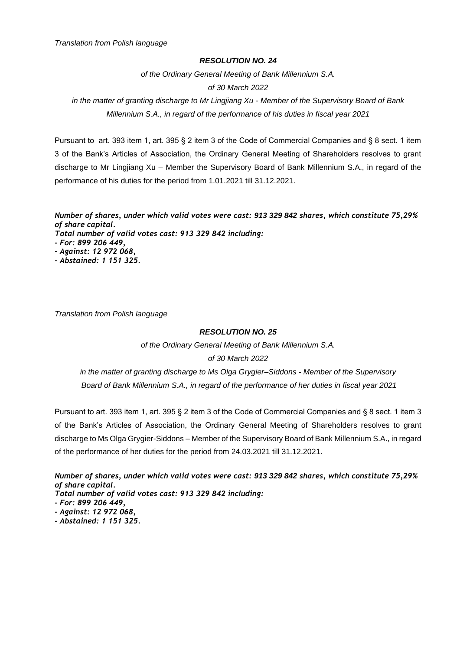#### *RESOLUTION NO. 24*

*of the Ordinary General Meeting of Bank Millennium S.A.* 

# *of 30 March 2022*

*in the matter of granting discharge to Mr Lingjiang Xu - Member of the Supervisory Board of Bank Millennium S.A., in regard of the performance of his duties in fiscal year 2021*

Pursuant to art. 393 item 1, art. 395 § 2 item 3 of the Code of Commercial Companies and § 8 sect. 1 item 3 of the Bank's Articles of Association, the Ordinary General Meeting of Shareholders resolves to grant discharge to Mr Lingjiang Xu – Member the Supervisory Board of Bank Millennium S.A., in regard of the performance of his duties for the period from 1.01.2021 till 31.12.2021.

*Number of shares, under which valid votes were cast: 913 329 842 shares, which constitute 75,29% of share capital. Total number of valid votes cast: 913 329 842 including: - For: 899 206 449, - Against: 12 972 068, - Abstained: 1 151 325.*

*Translation from Polish language*

# *RESOLUTION NO. 25*

*of the Ordinary General Meeting of Bank Millennium S.A.* 

# *of 30 March 2022*

*in the matter of granting discharge to Ms Olga Grygier–Siddons - Member of the Supervisory Board of Bank Millennium S.A., in regard of the performance of her duties in fiscal year 2021*

Pursuant to art. 393 item 1, art. 395 § 2 item 3 of the Code of Commercial Companies and § 8 sect. 1 item 3 of the Bank's Articles of Association, the Ordinary General Meeting of Shareholders resolves to grant discharge to Ms Olga Grygier-Siddons – Member of the Supervisory Board of Bank Millennium S.A., in regard of the performance of her duties for the period from 24.03.2021 till 31.12.2021.

*Number of shares, under which valid votes were cast: 913 329 842 shares, which constitute 75,29% of share capital. Total number of valid votes cast: 913 329 842 including: - For: 899 206 449, - Against: 12 972 068, - Abstained: 1 151 325.*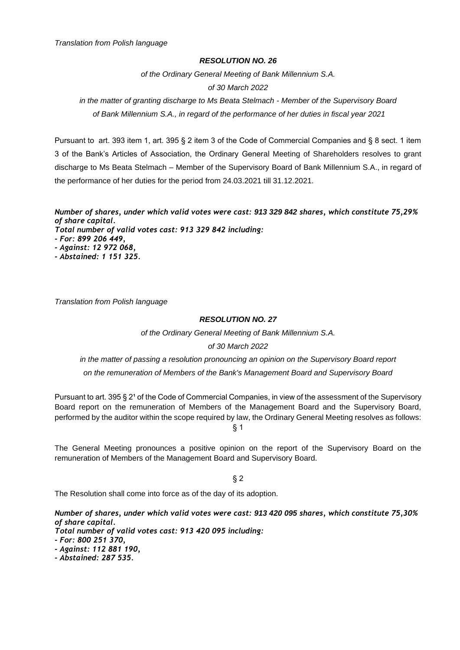#### *RESOLUTION NO. 26*

*of the Ordinary General Meeting of Bank Millennium S.A.* 

# *of 30 March 2022*

*in the matter of granting discharge to Ms Beata Stelmach - Member of the Supervisory Board of Bank Millennium S.A., in regard of the performance of her duties in fiscal year 2021*

Pursuant to art. 393 item 1, art. 395 § 2 item 3 of the Code of Commercial Companies and § 8 sect. 1 item 3 of the Bank's Articles of Association, the Ordinary General Meeting of Shareholders resolves to grant discharge to Ms Beata Stelmach – Member of the Supervisory Board of Bank Millennium S.A., in regard of the performance of her duties for the period from 24.03.2021 till 31.12.2021.

*Number of shares, under which valid votes were cast: 913 329 842 shares, which constitute 75,29% of share capital.*

*Total number of valid votes cast: 913 329 842 including: - For: 899 206 449,*

*- Against: 12 972 068,*

*- Abstained: 1 151 325.*

*Translation from Polish language*

# *RESOLUTION NO. 27*

*of the Ordinary General Meeting of Bank Millennium S.A.* 

# *of 30 March 2022*

*in the matter of passing a resolution pronouncing an opinion on the Supervisory Board report on the remuneration of Members of the Bank's Management Board and Supervisory Board*

Pursuant to art. 395 § 2<sup>1</sup> of the Code of Commercial Companies, in view of the assessment of the Supervisory Board report on the remuneration of Members of the Management Board and the Supervisory Board, performed by the auditor within the scope required by law, the Ordinary General Meeting resolves as follows: § 1

The General Meeting pronounces a positive opinion on the report of the Supervisory Board on the remuneration of Members of the Management Board and Supervisory Board.

§ 2

The Resolution shall come into force as of the day of its adoption.

*Number of shares, under which valid votes were cast: 913 420 095 shares, which constitute 75,30% of share capital.*

*Total number of valid votes cast: 913 420 095 including:*

*- For: 800 251 370,*

*- Against: 112 881 190,*

*- Abstained: 287 535.*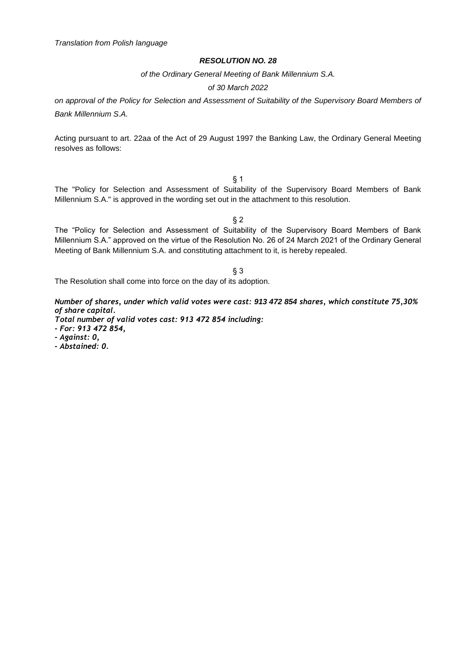*of the Ordinary General Meeting of Bank Millennium S.A.*

#### *of 30 March 2022*

*on approval of the Policy for Selection and Assessment of Suitability of the Supervisory Board Members of Bank Millennium S.A.*

Acting pursuant to art. 22aa of the Act of 29 August 1997 the Banking Law, the Ordinary General Meeting resolves as follows:

§ 1

The "Policy for Selection and Assessment of Suitability of the Supervisory Board Members of Bank Millennium S.A." is approved in the wording set out in the attachment to this resolution.

§ 2

The "Policy for Selection and Assessment of Suitability of the Supervisory Board Members of Bank Millennium S.A." approved on the virtue of the Resolution No. 26 of 24 March 2021 of the Ordinary General Meeting of Bank Millennium S.A. and constituting attachment to it, is hereby repealed.

#### § 3

The Resolution shall come into force on the day of its adoption.

*Number of shares, under which valid votes were cast: 913 472 854 shares, which constitute 75,30% of share capital.*

*Total number of valid votes cast: 913 472 854 including:*

*- For: 913 472 854,*

*- Against: 0,*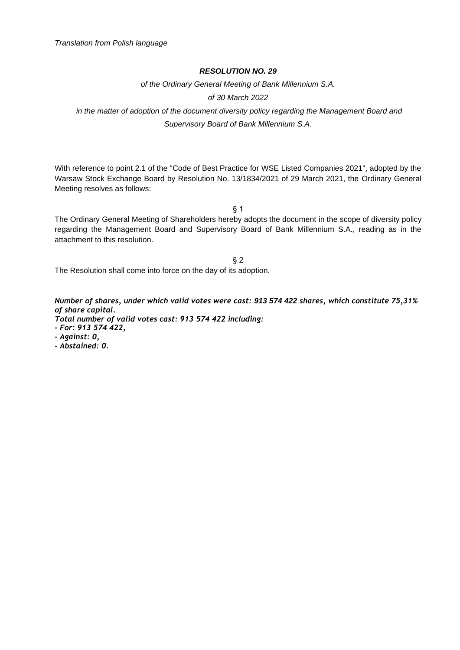*of the Ordinary General Meeting of Bank Millennium S.A.*

*of 30 March 2022*

*in the matter of adoption of the document diversity policy regarding the Management Board and Supervisory Board of Bank Millennium S.A.*

With reference to point 2.1 of the "Code of Best Practice for WSE Listed Companies 2021", adopted by the Warsaw Stock Exchange Board by Resolution No. 13/1834/2021 of 29 March 2021, the Ordinary General Meeting resolves as follows:

§ 1

The Ordinary General Meeting of Shareholders hereby adopts the document in the scope of diversity policy regarding the Management Board and Supervisory Board of Bank Millennium S.A., reading as in the attachment to this resolution.

§ 2 The Resolution shall come into force on the day of its adoption.

*Number of shares, under which valid votes were cast: 913 574 422 shares, which constitute 75,31% of share capital.*

*Total number of valid votes cast: 913 574 422 including:*

*- For: 913 574 422,*

*- Against: 0,*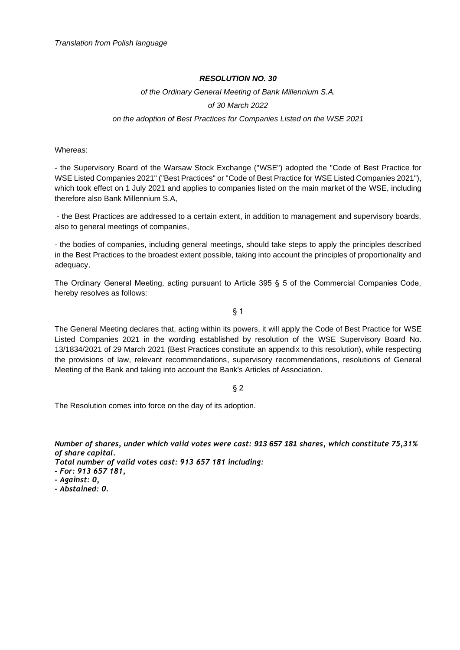# *of the Ordinary General Meeting of Bank Millennium S.A. of 30 March 2022 on the adoption of Best Practices for Companies Listed on the WSE 2021*

Whereas:

- the Supervisory Board of the Warsaw Stock Exchange ("WSE") adopted the "Code of Best Practice for WSE Listed Companies 2021" ("Best Practices" or "Code of Best Practice for WSE Listed Companies 2021"), which took effect on 1 July 2021 and applies to companies listed on the main market of the WSE, including therefore also Bank Millennium S.A,

- the Best Practices are addressed to a certain extent, in addition to management and supervisory boards, also to general meetings of companies,

- the bodies of companies, including general meetings, should take steps to apply the principles described in the Best Practices to the broadest extent possible, taking into account the principles of proportionality and adequacy,

The Ordinary General Meeting, acting pursuant to Article 395 § 5 of the Commercial Companies Code, hereby resolves as follows:

§ 1

The General Meeting declares that, acting within its powers, it will apply the Code of Best Practice for WSE Listed Companies 2021 in the wording established by resolution of the WSE Supervisory Board No. 13/1834/2021 of 29 March 2021 (Best Practices constitute an appendix to this resolution), while respecting the provisions of law, relevant recommendations, supervisory recommendations, resolutions of General Meeting of the Bank and taking into account the Bank's Articles of Association.

# § 2

The Resolution comes into force on the day of its adoption.

*Number of shares, under which valid votes were cast: 913 657 181 shares, which constitute 75,31% of share capital.*

*Total number of valid votes cast: 913 657 181 including:*

*- For: 913 657 181,*

*- Against: 0,*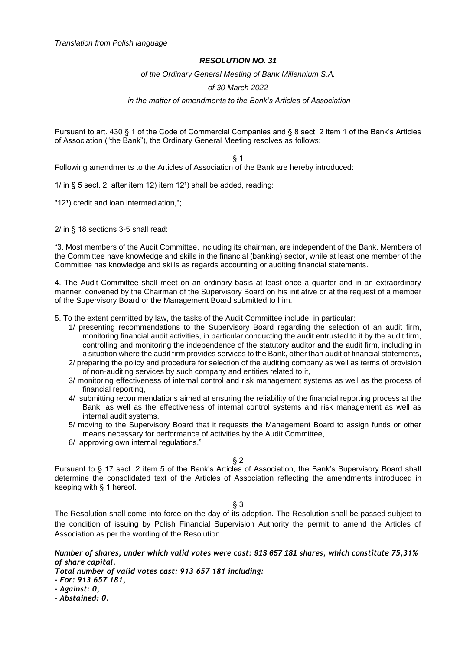*of the Ordinary General Meeting of Bank Millennium S.A.* 

## *of 30 March 2022*

#### *in the matter of amendments to the Bank's Articles of Association*

Pursuant to art. 430 § 1 of the Code of Commercial Companies and § 8 sect. 2 item 1 of the Bank's Articles of Association ("the Bank"), the Ordinary General Meeting resolves as follows:

§ 1

Following amendments to the Articles of Association of the Bank are hereby introduced:

1/ in  $\S$  5 sect. 2, after item 12) item 12<sup>1</sup>) shall be added, reading:

"12<sup>1</sup>) credit and loan intermediation,";

2/ in § 18 sections 3-5 shall read:

"3. Most members of the Audit Committee, including its chairman, are independent of the Bank. Members of the Committee have knowledge and skills in the financial (banking) sector, while at least one member of the Committee has knowledge and skills as regards accounting or auditing financial statements.

4. The Audit Committee shall meet on an ordinary basis at least once a quarter and in an extraordinary manner, convened by the Chairman of the Supervisory Board on his initiative or at the request of a member of the Supervisory Board or the Management Board submitted to him.

5. To the extent permitted by law, the tasks of the Audit Committee include, in particular:

- 1/ presenting recommendations to the Supervisory Board regarding the selection of an audit firm, monitoring financial audit activities, in particular conducting the audit entrusted to it by the audit firm, controlling and monitoring the independence of the statutory auditor and the audit firm, including in a situation where the audit firm provides services to the Bank, other than audit of financial statements,
- 2/ preparing the policy and procedure for selection of the auditing company as well as terms of provision of non-auditing services by such company and entities related to it,
- 3/ monitoring effectiveness of internal control and risk management systems as well as the process of financial reporting,
- 4/ submitting recommendations aimed at ensuring the reliability of the financial reporting process at the Bank, as well as the effectiveness of internal control systems and risk management as well as internal audit systems,
- 5/ moving to the Supervisory Board that it requests the Management Board to assign funds or other means necessary for performance of activities by the Audit Committee,
- 6/ approving own internal regulations."

 $§$  2

Pursuant to § 17 sect. 2 item 5 of the Bank's Articles of Association, the Bank's Supervisory Board shall determine the consolidated text of the Articles of Association reflecting the amendments introduced in keeping with § 1 hereof.

§ 3

The Resolution shall come into force on the day of its adoption. The Resolution shall be passed subject to the condition of issuing by Polish Financial Supervision Authority the permit to amend the Articles of Association as per the wording of the Resolution.

*Number of shares, under which valid votes were cast: 913 657 181 shares, which constitute 75,31% of share capital.*

*Total number of valid votes cast: 913 657 181 including:*

*- For: 913 657 181,*

*- Against: 0,*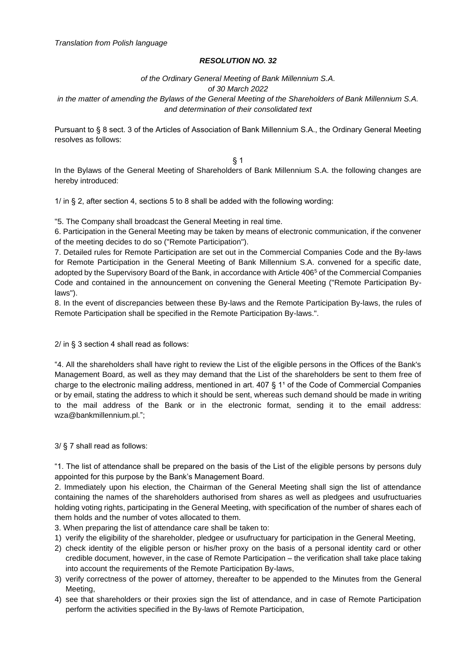#### *of the Ordinary General Meeting of Bank Millennium S.A.*

*of 30 March 2022*

*in the matter of amending the Bylaws of the General Meeting of the Shareholders of Bank Millennium S.A. and determination of their consolidated text*

Pursuant to § 8 sect. 3 of the Articles of Association of Bank Millennium S.A., the Ordinary General Meeting resolves as follows:

§ 1

In the Bylaws of the General Meeting of Shareholders of Bank Millennium S.A. the following changes are hereby introduced:

1/ in § 2, after section 4, sections 5 to 8 shall be added with the following wording:

"5. The Company shall broadcast the General Meeting in real time.

6. Participation in the General Meeting may be taken by means of electronic communication, if the convener of the meeting decides to do so ("Remote Participation").

7. Detailed rules for Remote Participation are set out in the Commercial Companies Code and the By-laws for Remote Participation in the General Meeting of Bank Millennium S.A. convened for a specific date, adopted by the Supervisory Board of the Bank, in accordance with Article 406<sup>5</sup> of the Commercial Companies Code and contained in the announcement on convening the General Meeting ("Remote Participation Bylaws").

8. In the event of discrepancies between these By-laws and the Remote Participation By-laws, the rules of Remote Participation shall be specified in the Remote Participation By-laws.".

2/ in § 3 section 4 shall read as follows:

"4. All the shareholders shall have right to review the List of the eligible persons in the Offices of the Bank's Management Board, as well as they may demand that the List of the shareholders be sent to them free of charge to the electronic mailing address, mentioned in art.  $407 \, \text{S}$  1<sup>1</sup> of the Code of Commercial Companies or by email, stating the address to which it should be sent, whereas such demand should be made in writing to the mail address of the Bank or in the electronic format, sending it to the email address: wza@bankmillennium.pl.";

3/ § 7 shall read as follows:

"1. The list of attendance shall be prepared on the basis of the List of the eligible persons by persons duly appointed for this purpose by the Bank's Management Board.

2. Immediately upon his election, the Chairman of the General Meeting shall sign the list of attendance containing the names of the shareholders authorised from shares as well as pledgees and usufructuaries holding voting rights, participating in the General Meeting, with specification of the number of shares each of them holds and the number of votes allocated to them.

- 3. When preparing the list of attendance care shall be taken to:
- 1) verify the eligibility of the shareholder, pledgee or usufructuary for participation in the General Meeting,
- 2) check identity of the eligible person or his/her proxy on the basis of a personal identity card or other credible document, however, in the case of Remote Participation – the verification shall take place taking into account the requirements of the Remote Participation By-laws,
- 3) verify correctness of the power of attorney, thereafter to be appended to the Minutes from the General Meeting,
- 4) see that shareholders or their proxies sign the list of attendance, and in case of Remote Participation perform the activities specified in the By-laws of Remote Participation,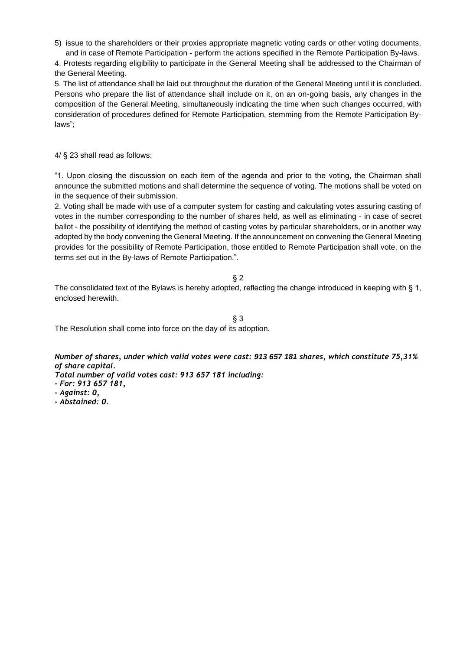5) issue to the shareholders or their proxies appropriate magnetic voting cards or other voting documents, and in case of Remote Participation - perform the actions specified in the Remote Participation By-laws.

4. Protests regarding eligibility to participate in the General Meeting shall be addressed to the Chairman of the General Meeting.

5. The list of attendance shall be laid out throughout the duration of the General Meeting until it is concluded. Persons who prepare the list of attendance shall include on it, on an on-going basis, any changes in the composition of the General Meeting, simultaneously indicating the time when such changes occurred, with consideration of procedures defined for Remote Participation, stemming from the Remote Participation Bylaws";

4/ § 23 shall read as follows:

"1. Upon closing the discussion on each item of the agenda and prior to the voting, the Chairman shall announce the submitted motions and shall determine the sequence of voting. The motions shall be voted on in the sequence of their submission.

2. Voting shall be made with use of a computer system for casting and calculating votes assuring casting of votes in the number corresponding to the number of shares held, as well as eliminating - in case of secret ballot - the possibility of identifying the method of casting votes by particular shareholders, or in another way adopted by the body convening the General Meeting. If the announcement on convening the General Meeting provides for the possibility of Remote Participation, those entitled to Remote Participation shall vote, on the terms set out in the By-laws of Remote Participation.".

§ 2

The consolidated text of the Bylaws is hereby adopted, reflecting the change introduced in keeping with § 1, enclosed herewith.

§ 3 The Resolution shall come into force on the day of its adoption.

*Number of shares, under which valid votes were cast: 913 657 181 shares, which constitute 75,31% of share capital.*

*Total number of valid votes cast: 913 657 181 including:*

- *- For: 913 657 181,*
- *- Against: 0,*
- *- Abstained: 0.*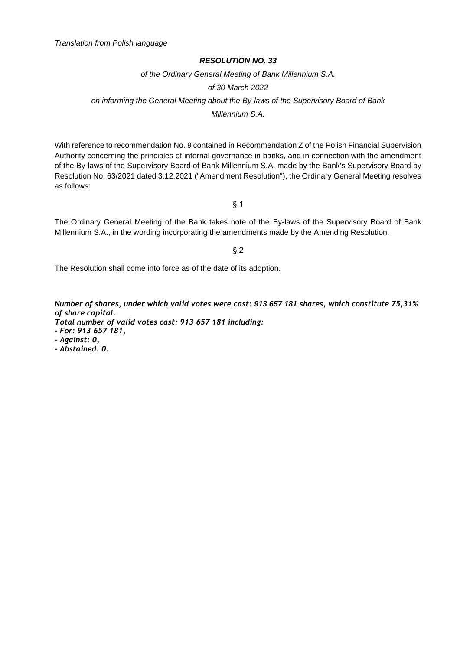*of the Ordinary General Meeting of Bank Millennium S.A.*

*of 30 March 2022*

*on informing the General Meeting about the By-laws of the Supervisory Board of Bank* 

*Millennium S.A.*

With reference to recommendation No. 9 contained in Recommendation Z of the Polish Financial Supervision Authority concerning the principles of internal governance in banks, and in connection with the amendment of the By-laws of the Supervisory Board of Bank Millennium S.A. made by the Bank's Supervisory Board by Resolution No. 63/2021 dated 3.12.2021 ("Amendment Resolution"), the Ordinary General Meeting resolves as follows:

§ 1

The Ordinary General Meeting of the Bank takes note of the By-laws of the Supervisory Board of Bank Millennium S.A., in the wording incorporating the amendments made by the Amending Resolution.

§ 2

The Resolution shall come into force as of the date of its adoption.

*Number of shares, under which valid votes were cast: 913 657 181 shares, which constitute 75,31% of share capital.*

*Total number of valid votes cast: 913 657 181 including:*

*- For: 913 657 181,*

*- Against: 0,*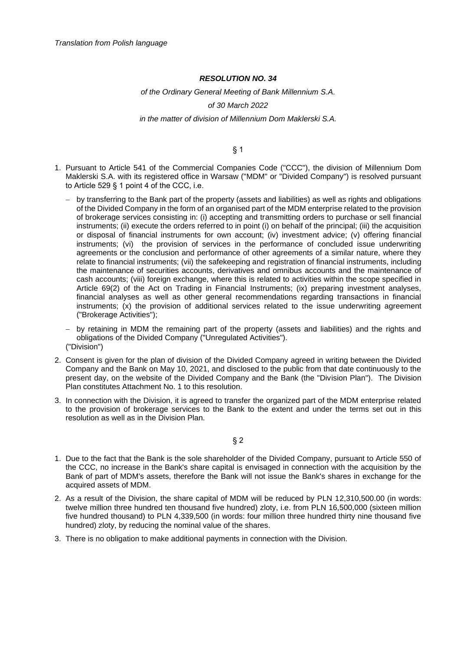#### *of the Ordinary General Meeting of Bank Millennium S.A.*

#### *of 30 March 2022*

#### *in the matter of division of Millennium Dom Maklerski S.A.*

#### § 1

- 1. Pursuant to Article 541 of the Commercial Companies Code ("CCC"), the division of Millennium Dom Maklerski S.A. with its registered office in Warsaw ("MDM" or "Divided Company") is resolved pursuant to Article 529 § 1 point 4 of the CCC, i.e.
	- − by transferring to the Bank part of the property (assets and liabilities) as well as rights and obligations of the Divided Company in the form of an organised part of the MDM enterprise related to the provision of brokerage services consisting in: (i) accepting and transmitting orders to purchase or sell financial instruments; (ii) execute the orders referred to in point (i) on behalf of the principal; (iii) the acquisition or disposal of financial instruments for own account; (iv) investment advice; (v) offering financial instruments; (vi) the provision of services in the performance of concluded issue underwriting agreements or the conclusion and performance of other agreements of a similar nature, where they relate to financial instruments; (vii) the safekeeping and registration of financial instruments, including the maintenance of securities accounts, derivatives and omnibus accounts and the maintenance of cash accounts; (viii) foreign exchange, where this is related to activities within the scope specified in Article 69(2) of the Act on Trading in Financial Instruments; (ix) preparing investment analyses, financial analyses as well as other general recommendations regarding transactions in financial instruments; (x) the provision of additional services related to the issue underwriting agreement ("Brokerage Activities");
	- − by retaining in MDM the remaining part of the property (assets and liabilities) and the rights and obligations of the Divided Company ("Unregulated Activities"). ("Division")
- 2. Consent is given for the plan of division of the Divided Company agreed in writing between the Divided Company and the Bank on May 10, 2021, and disclosed to the public from that date continuously to the present day, on the website of the Divided Company and the Bank (the "Division Plan"). The Division Plan constitutes Attachment No. 1 to this resolution.
- 3. In connection with the Division, it is agreed to transfer the organized part of the MDM enterprise related to the provision of brokerage services to the Bank to the extent and under the terms set out in this resolution as well as in the Division Plan.

#### § 2

- 1. Due to the fact that the Bank is the sole shareholder of the Divided Company, pursuant to Article 550 of the CCC, no increase in the Bank's share capital is envisaged in connection with the acquisition by the Bank of part of MDM's assets, therefore the Bank will not issue the Bank's shares in exchange for the acquired assets of MDM.
- 2. As a result of the Division, the share capital of MDM will be reduced by PLN 12,310,500.00 (in words: twelve million three hundred ten thousand five hundred) zloty, i.e. from PLN 16,500,000 (sixteen million five hundred thousand) to PLN 4,339,500 (in words: four million three hundred thirty nine thousand five hundred) zloty, by reducing the nominal value of the shares.
- 3. There is no obligation to make additional payments in connection with the Division.